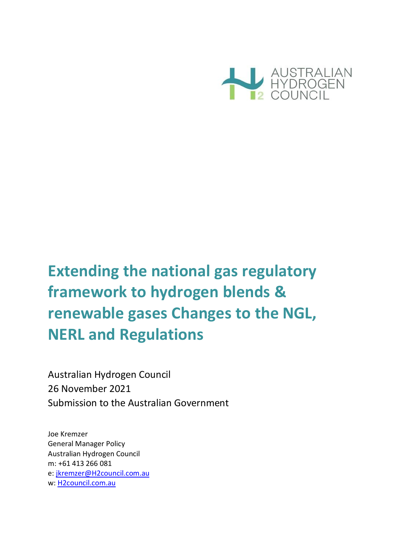

# **Extending the national gas regulatory framework to hydrogen blends & renewable gases Changes to the NGL, NERL and Regulations**

Australian Hydrogen Council 26 November 2021 Submission to the Australian Government

Joe Kremzer General Manager Policy Australian Hydrogen Council m: +61 413 266 081 e: [jkremzer@H2council.com.au](mailto:jkremzer@H2council.com.au) w: H2council.com.au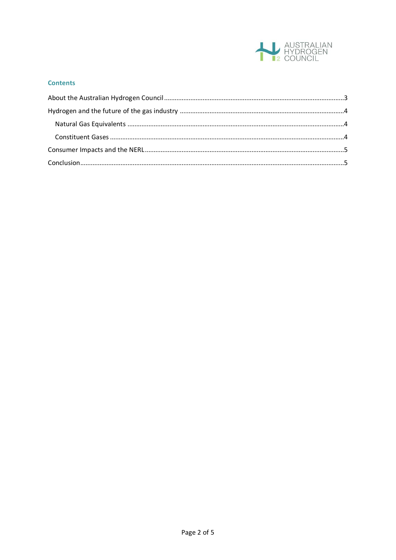

#### **Contents**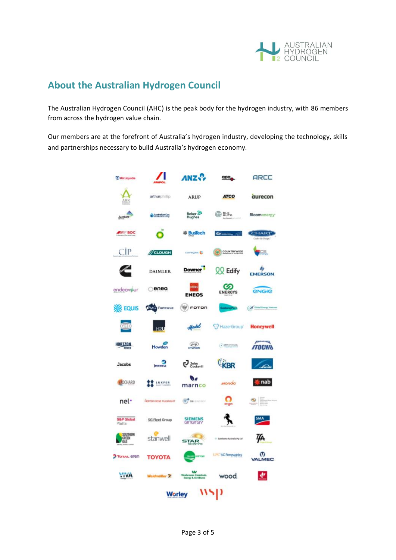

## <span id="page-2-0"></span>**About the Australian Hydrogen Council**

The Australian Hydrogen Council (AHC) is the peak body for the hydrogen industry, with 86 members from across the hydrogen value chain.

Our members are at the forefront of Australia's hydrogen industry, developing the technology, skills and partnerships necessary to build Australia's hydrogen economy.

| <b><i>AirLiquide</i></b>               |                       | ANZ.                                           | apa,                           | ARCC                            |  |  |
|----------------------------------------|-----------------------|------------------------------------------------|--------------------------------|---------------------------------|--|--|
| ARK                                    | arthurphillip         | <b>ARUP</b>                                    | <b>ATCO</b>                    | aurecon                         |  |  |
| AusNet                                 | <b>Australian Gas</b> | Baker <sup>2</sup>                             | <b>图略</b>                      | <b>Bloomenergy</b>              |  |  |
| <b>BOC</b>                             | bp<br>۰               | <b> BusTech</b>                                | $\omega$ .<br><b>Sea Forms</b> | <b>HART</b><br>Cooke By Design" |  |  |
| CİP                                    | // CLOUGH             | carages (5                                     | COUNTRYWIDE<br>Θ               | FS.                             |  |  |
|                                        | <b>DAIMLER</b>        | <b>Downer</b>                                  | QQ Edify                       | <b>EMERSON</b>                  |  |  |
| endeav jur                             | enea                  | <b>ENEOS</b>                                   | $\omega$<br><b>ENERGYS</b>     | <b><i><u>ENGIB</u></i></b>      |  |  |
| <b>DIK EQUIS</b>                       | <b>CHMG</b> Fortescue | $\sqrt{2}$<br>FOTON                            |                                | <b>Chekel Energy Varme</b>      |  |  |
| <u>e HD</u>                            | H2U                   | Hastel                                         | HazerGroup                     | <b>Honeywell</b>                |  |  |
| HORIZON<br>POWER                       | Howden                | $\mathcal{D}$                                  | (.) ITH POWER                  | $I^{rann}$<br><b>ITOCHN</b>     |  |  |
| <b>Jacobs</b>                          | Jemena                | John<br>Cockerill<br>رج                        | <b>KBR</b>                     | finit                           |  |  |
| <b>AIOCHARD</b>                        | LUXFER                | NО<br>marnco                                   | monda                          | nab                             |  |  |
| nel·                                   | NORTON ROSE FULSINGHT | <b>CONTRACT</b>                                | origin                         | E<br>Ø                          |  |  |
| <b>S&amp;P Global</b><br>Platts        | <b>SG Fleet Group</b> | <b>SIEMENS</b><br>GNGLGY                       |                                | SMA                             |  |  |
| <b>SOUTHERN</b><br>GREEN<br><b>GAS</b> | stanwell              | <b>COLLECTION</b><br><b>STAR</b>               | - Symmano Australia Pty Ltd    | ĮД                              |  |  |
| TOTAL eren                             | ΤΟΥΟΤΑ                | <b>ENTERE</b>                                  | UPC <sup>4</sup> C Renewables  | Ø<br><b>VALMEC</b>              |  |  |
| VIVA                                   | Weldmüller 2          | es Ch<br>obcatn<br><b>Loopy A. Fectilisers</b> | wood.                          | ₩                               |  |  |
| <b>Worley</b>                          |                       |                                                |                                |                                 |  |  |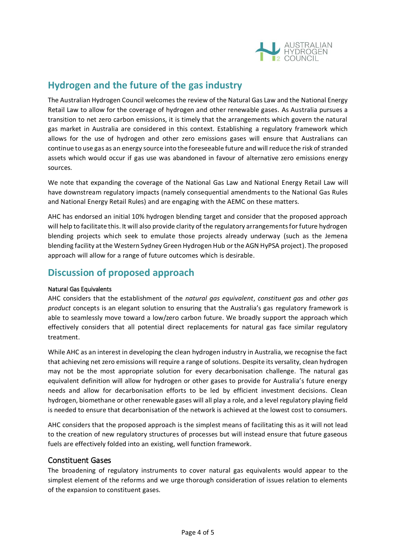

## <span id="page-3-0"></span>**Hydrogen and the future of the gas industry**

The Australian Hydrogen Council welcomes the review of the Natural Gas Law and the National Energy Retail Law to allow for the coverage of hydrogen and other renewable gases. As Australia pursues a transition to net zero carbon emissions, it is timely that the arrangements which govern the natural gas market in Australia are considered in this context. Establishing a regulatory framework which allows for the use of hydrogen and other zero emissions gases will ensure that Australians can continue to use gas as an energy source into the foreseeable future and will reduce the risk of stranded assets which would occur if gas use was abandoned in favour of alternative zero emissions energy sources.

We note that expanding the coverage of the National Gas Law and National Energy Retail Law will have downstream regulatory impacts (namely consequential amendments to the National Gas Rules and National Energy Retail Rules) and are engaging with the AEMC on these matters.

AHC has endorsed an initial 10% hydrogen blending target and consider that the proposed approach will help to facilitate this. It will also provide clarity of the regulatory arrangements for future hydrogen blending projects which seek to emulate those projects already underway (such as the Jemena blending facility at the Western Sydney Green Hydrogen Hub or the AGN HyPSA project). The proposed approach will allow for a range of future outcomes which is desirable.

## **Discussion of proposed approach**

#### <span id="page-3-1"></span>Natural Gas Equivalents

AHC considers that the establishment of the *natural gas equivalent*, *constituent gas* and *other gas product* concepts is an elegant solution to ensuring that the Australia's gas regulatory framework is able to seamlessly move toward a low/zero carbon future. We broadly support the approach which effectively considers that all potential direct replacements for natural gas face similar regulatory treatment.

While AHC as an interest in developing the clean hydrogen industry in Australia, we recognise the fact that achieving net zero emissions will require a range of solutions. Despite its versality, clean hydrogen may not be the most appropriate solution for every decarbonisation challenge. The natural gas equivalent definition will allow for hydrogen or other gases to provide for Australia's future energy needs and allow for decarbonisation efforts to be led by efficient investment decisions. Clean hydrogen, biomethane or other renewable gases will all play a role, and a level regulatory playing field is needed to ensure that decarbonisation of the network is achieved at the lowest cost to consumers.

AHC considers that the proposed approach is the simplest means of facilitating this as it will not lead to the creation of new regulatory structures of processes but will instead ensure that future gaseous fuels are effectively folded into an existing, well function framework.

#### <span id="page-3-2"></span>Constituent Gases

The broadening of regulatory instruments to cover natural gas equivalents would appear to the simplest element of the reforms and we urge thorough consideration of issues relation to elements of the expansion to constituent gases.